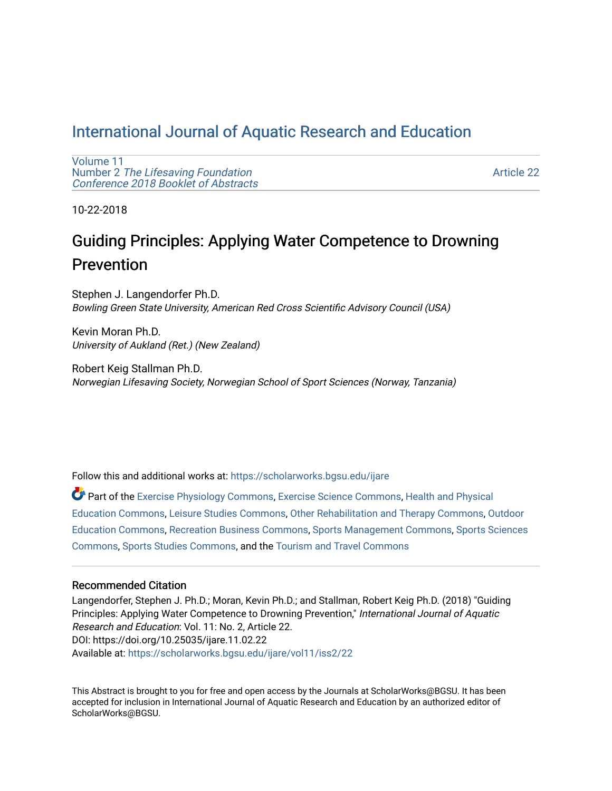## [International Journal of Aquatic Research and Education](https://scholarworks.bgsu.edu/ijare)

[Volume 11](https://scholarworks.bgsu.edu/ijare/vol11) Number 2 [The Lifesaving Foundation](https://scholarworks.bgsu.edu/ijare/vol11/iss2)  [Conference 2018 Booklet of Abstracts](https://scholarworks.bgsu.edu/ijare/vol11/iss2) 

[Article 22](https://scholarworks.bgsu.edu/ijare/vol11/iss2/22) 

10-22-2018

## Guiding Principles: Applying Water Competence to Drowning Prevention

Stephen J. Langendorfer Ph.D. Bowling Green State University, American Red Cross Scientific Advisory Council (USA)

Kevin Moran Ph.D. University of Aukland (Ret.) (New Zealand)

Robert Keig Stallman Ph.D. Norwegian Lifesaving Society, Norwegian School of Sport Sciences (Norway, Tanzania)

Follow this and additional works at: [https://scholarworks.bgsu.edu/ijare](https://scholarworks.bgsu.edu/ijare?utm_source=scholarworks.bgsu.edu%2Fijare%2Fvol11%2Fiss2%2F22&utm_medium=PDF&utm_campaign=PDFCoverPages) 

Part of the [Exercise Physiology Commons,](http://network.bepress.com/hgg/discipline/73?utm_source=scholarworks.bgsu.edu%2Fijare%2Fvol11%2Fiss2%2F22&utm_medium=PDF&utm_campaign=PDFCoverPages) [Exercise Science Commons,](http://network.bepress.com/hgg/discipline/1091?utm_source=scholarworks.bgsu.edu%2Fijare%2Fvol11%2Fiss2%2F22&utm_medium=PDF&utm_campaign=PDFCoverPages) [Health and Physical](http://network.bepress.com/hgg/discipline/1327?utm_source=scholarworks.bgsu.edu%2Fijare%2Fvol11%2Fiss2%2F22&utm_medium=PDF&utm_campaign=PDFCoverPages)  [Education Commons,](http://network.bepress.com/hgg/discipline/1327?utm_source=scholarworks.bgsu.edu%2Fijare%2Fvol11%2Fiss2%2F22&utm_medium=PDF&utm_campaign=PDFCoverPages) [Leisure Studies Commons](http://network.bepress.com/hgg/discipline/1197?utm_source=scholarworks.bgsu.edu%2Fijare%2Fvol11%2Fiss2%2F22&utm_medium=PDF&utm_campaign=PDFCoverPages), [Other Rehabilitation and Therapy Commons](http://network.bepress.com/hgg/discipline/758?utm_source=scholarworks.bgsu.edu%2Fijare%2Fvol11%2Fiss2%2F22&utm_medium=PDF&utm_campaign=PDFCoverPages), [Outdoor](http://network.bepress.com/hgg/discipline/1381?utm_source=scholarworks.bgsu.edu%2Fijare%2Fvol11%2Fiss2%2F22&utm_medium=PDF&utm_campaign=PDFCoverPages)  [Education Commons,](http://network.bepress.com/hgg/discipline/1381?utm_source=scholarworks.bgsu.edu%2Fijare%2Fvol11%2Fiss2%2F22&utm_medium=PDF&utm_campaign=PDFCoverPages) [Recreation Business Commons,](http://network.bepress.com/hgg/discipline/1083?utm_source=scholarworks.bgsu.edu%2Fijare%2Fvol11%2Fiss2%2F22&utm_medium=PDF&utm_campaign=PDFCoverPages) [Sports Management Commons](http://network.bepress.com/hgg/discipline/1193?utm_source=scholarworks.bgsu.edu%2Fijare%2Fvol11%2Fiss2%2F22&utm_medium=PDF&utm_campaign=PDFCoverPages), [Sports Sciences](http://network.bepress.com/hgg/discipline/759?utm_source=scholarworks.bgsu.edu%2Fijare%2Fvol11%2Fiss2%2F22&utm_medium=PDF&utm_campaign=PDFCoverPages)  [Commons](http://network.bepress.com/hgg/discipline/759?utm_source=scholarworks.bgsu.edu%2Fijare%2Fvol11%2Fiss2%2F22&utm_medium=PDF&utm_campaign=PDFCoverPages), [Sports Studies Commons](http://network.bepress.com/hgg/discipline/1198?utm_source=scholarworks.bgsu.edu%2Fijare%2Fvol11%2Fiss2%2F22&utm_medium=PDF&utm_campaign=PDFCoverPages), and the [Tourism and Travel Commons](http://network.bepress.com/hgg/discipline/1082?utm_source=scholarworks.bgsu.edu%2Fijare%2Fvol11%2Fiss2%2F22&utm_medium=PDF&utm_campaign=PDFCoverPages)

## Recommended Citation

Langendorfer, Stephen J. Ph.D.; Moran, Kevin Ph.D.; and Stallman, Robert Keig Ph.D. (2018) "Guiding Principles: Applying Water Competence to Drowning Prevention," International Journal of Aquatic Research and Education: Vol. 11: No. 2, Article 22. DOI: https://doi.org/10.25035/ijare.11.02.22 Available at: [https://scholarworks.bgsu.edu/ijare/vol11/iss2/22](https://scholarworks.bgsu.edu/ijare/vol11/iss2/22?utm_source=scholarworks.bgsu.edu%2Fijare%2Fvol11%2Fiss2%2F22&utm_medium=PDF&utm_campaign=PDFCoverPages) 

This Abstract is brought to you for free and open access by the Journals at ScholarWorks@BGSU. It has been accepted for inclusion in International Journal of Aquatic Research and Education by an authorized editor of ScholarWorks@BGSU.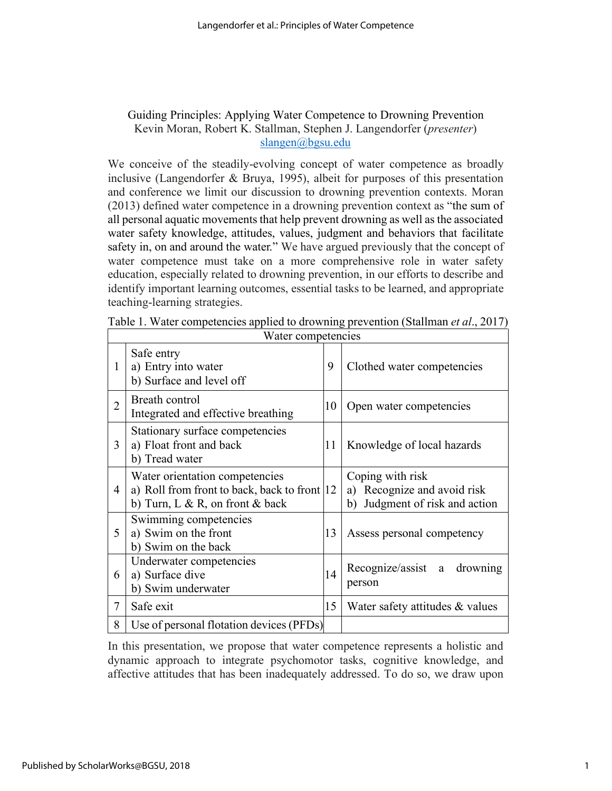## Guiding Principles: Applying Water Competence to Drowning Prevention Kevin Moran, Robert K. Stallman, Stephen J. Langendorfer (*presenter*) slangen@bgsu.edu

We conceive of the steadily-evolving concept of water competence as broadly inclusive (Langendorfer & Bruya, 1995), albeit for purposes of this presentation and conference we limit our discussion to drowning prevention contexts. Moran (2013) defined water competence in a drowning prevention context as "the sum of all personal aquatic movements that help prevent drowning as well as the associated water safety knowledge, attitudes, values, judgment and behaviors that facilitate safety in, on and around the water." We have argued previously that the concept of water competence must take on a more comprehensive role in water safety education, especially related to drowning prevention, in our efforts to describe and identify important learning outcomes, essential tasks to be learned, and appropriate teaching-learning strategies.

| Water competencies |                                                                                                                    |    |                                                                                         |
|--------------------|--------------------------------------------------------------------------------------------------------------------|----|-----------------------------------------------------------------------------------------|
| 1                  | Safe entry<br>a) Entry into water<br>b) Surface and level off                                                      | 9  | Clothed water competencies                                                              |
| $\overline{2}$     | Breath control<br>Integrated and effective breathing                                                               | 10 | Open water competencies                                                                 |
| 3                  | Stationary surface competencies<br>a) Float front and back<br>b) Tread water                                       | 11 | Knowledge of local hazards                                                              |
| 4                  | Water orientation competencies<br>a) Roll from front to back, back to front  12<br>b) Turn, L & R, on front & back |    | Coping with risk<br>Recognize and avoid risk<br>a)<br>Judgment of risk and action<br>b) |
| 5                  | Swimming competencies<br>a) Swim on the front<br>b) Swim on the back                                               | 13 | Assess personal competency                                                              |
| 6                  | Underwater competencies<br>a) Surface dive<br>b) Swim underwater                                                   | 14 | Recognize/assist<br>drowning<br>a<br>person                                             |
| 7                  | Safe exit                                                                                                          | 15 | Water safety attitudes & values                                                         |
| 8                  | Use of personal flotation devices (PFDs)                                                                           |    |                                                                                         |

Table 1. Water competencies applied to drowning prevention (Stallman *et al*., 2017)

In this presentation, we propose that water competence represents a holistic and dynamic approach to integrate psychomotor tasks, cognitive knowledge, and affective attitudes that has been inadequately addressed. To do so, we draw upon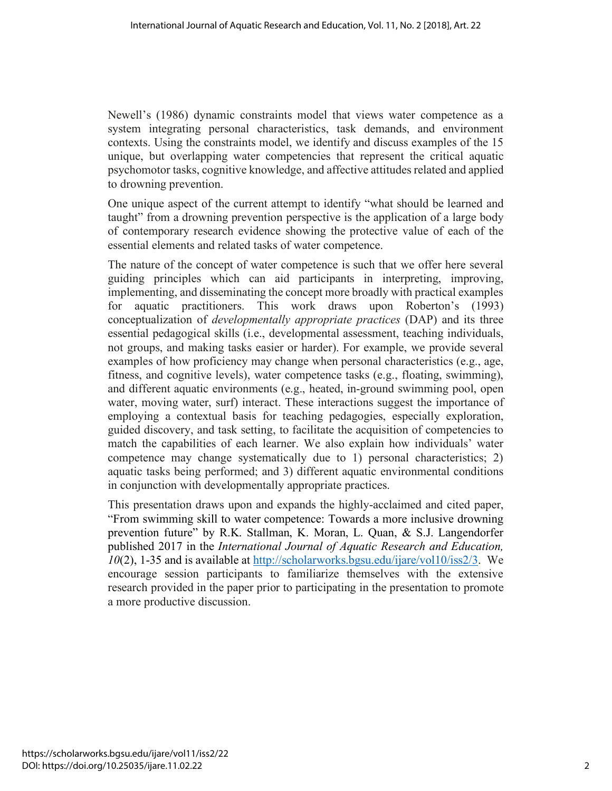Newell's (1986) dynamic constraints model that views water competence as a system integrating personal characteristics, task demands, and environment contexts. Using the constraints model, we identify and discuss examples of the 15 unique, but overlapping water competencies that represent the critical aquatic psychomotor tasks, cognitive knowledge, and affective attitudes related and applied to drowning prevention.

One unique aspect of the current attempt to identify "what should be learned and taught" from a drowning prevention perspective is the application of a large body of contemporary research evidence showing the protective value of each of the essential elements and related tasks of water competence.

The nature of the concept of water competence is such that we offer here several guiding principles which can aid participants in interpreting, improving, implementing, and disseminating the concept more broadly with practical examples for aquatic practitioners. This work draws upon Roberton's (1993) conceptualization of *developmentally appropriate practices* (DAP) and its three essential pedagogical skills (i.e., developmental assessment, teaching individuals, not groups, and making tasks easier or harder). For example, we provide several examples of how proficiency may change when personal characteristics (e.g., age, fitness, and cognitive levels), water competence tasks (e.g., floating, swimming), and different aquatic environments (e.g., heated, in-ground swimming pool, open water, moving water, surf) interact. These interactions suggest the importance of employing a contextual basis for teaching pedagogies, especially exploration, guided discovery, and task setting, to facilitate the acquisition of competencies to match the capabilities of each learner. We also explain how individuals' water competence may change systematically due to 1) personal characteristics; 2) aquatic tasks being performed; and 3) different aquatic environmental conditions in conjunction with developmentally appropriate practices.

This presentation draws upon and expands the highly-acclaimed and cited paper, "From swimming skill to water competence: Towards a more inclusive drowning prevention future" by R.K. Stallman, K. Moran, L. Quan, & S.J. Langendorfer published 2017 in the *International Journal of Aquatic Research and Education, 10*(2), 1-35 and is available at http://scholarworks.bgsu.edu/ijare/vol10/iss2/3. We encourage session participants to familiarize themselves with the extensive research provided in the paper prior to participating in the presentation to promote a more productive discussion.